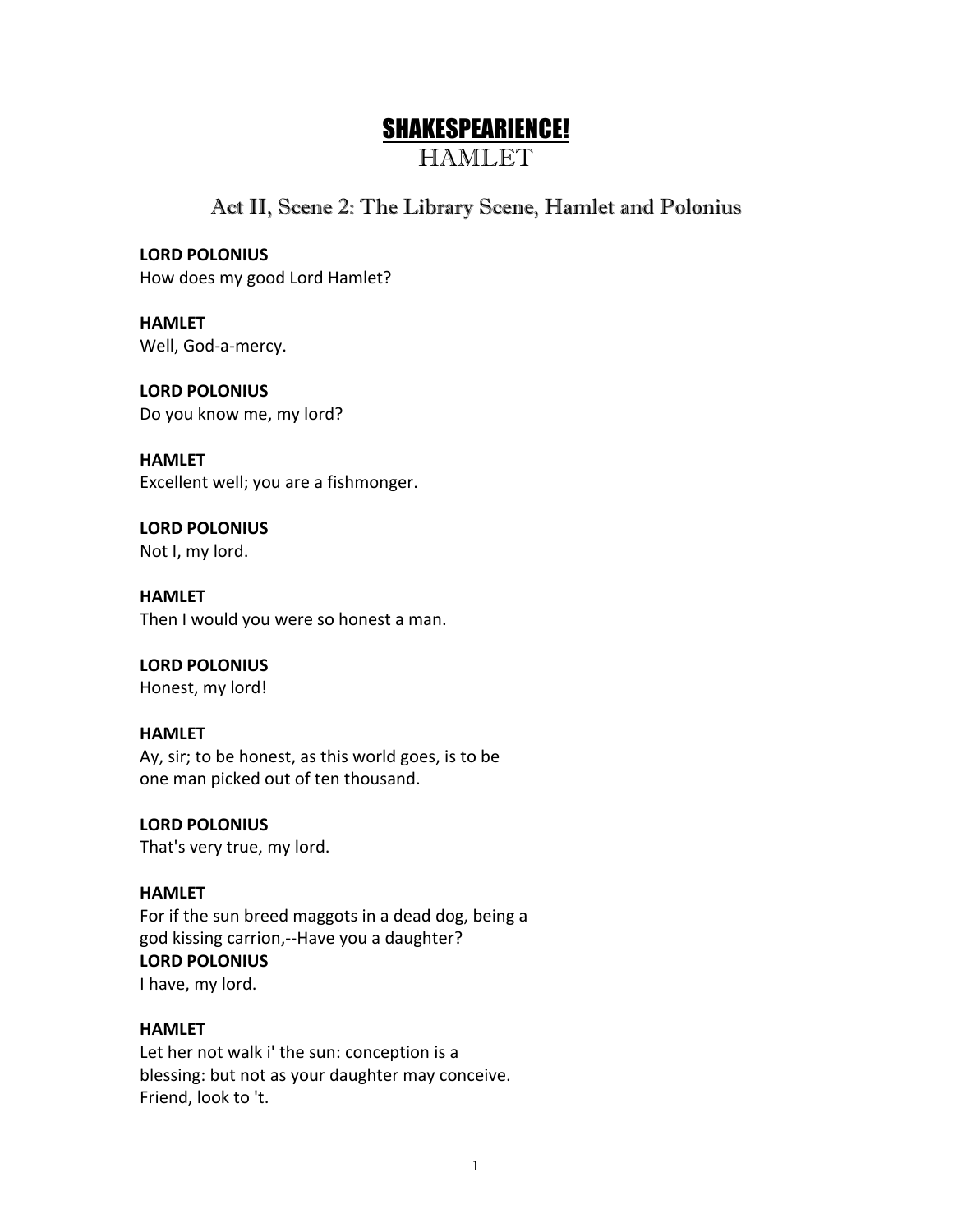## SHAKESPEARIENCE!

# HAMLET

## Act II, Scene 2: The Library Scene, Hamlet and Polonius

**LORD POLONIUS** How does my good Lord Hamlet?

**HAMLET** Well, God-a-mercy.

**LORD POLONIUS** Do you know me, my lord?

**HAMLET** Excellent well; you are a fishmonger.

**LORD POLONIUS** Not I, my lord.

**HAMLET** Then I would you were so honest a man.

## **LORD POLONIUS**

Honest, my lord!

#### **HAMLET**

Ay, sir; to be honest, as this world goes, is to be one man picked out of ten thousand.

## **LORD POLONIUS**

That's very true, my lord.

#### **HAMLET**

For if the sun breed maggots in a dead dog, being a god kissing carrion,--Have you a daughter? **LORD POLONIUS** I have, my lord.

#### **HAMLET**

Let her not walk i' the sun: conception is a blessing: but not as your daughter may conceive. Friend, look to 't.